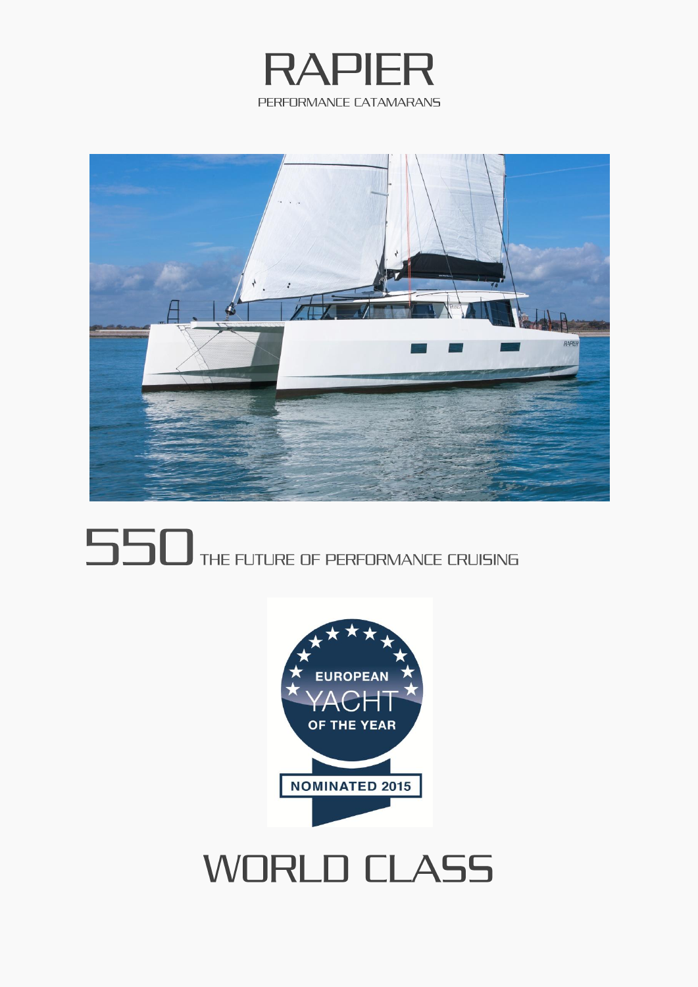



# **550** THE FUTURE OF PERFORMANCE CRUISING



# **WORLD CLASS**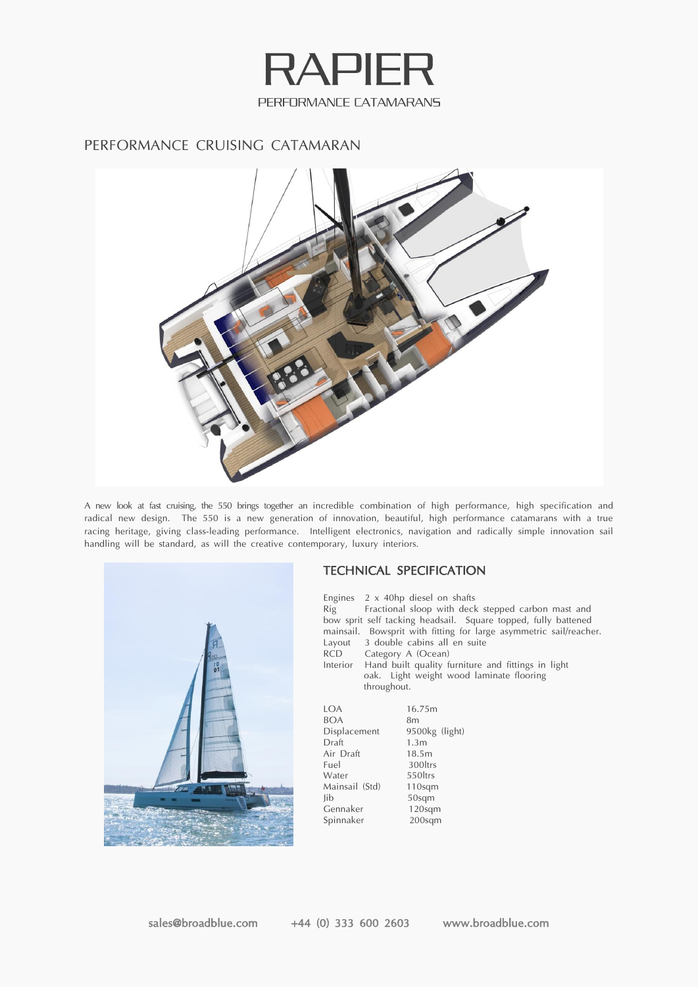

## PERFORMANCE CRUISING CATAMARAN



A new look at fast cruising, the 550 brings together an incredible combination of high performance, high specification and radical new design. The 550 is a new generation of innovation, beautiful, high performance catamarans with a true racing heritage, giving class-leading performance. Intelligent electronics, navigation and radically simple innovation sail handling will be standard, as will the creative contemporary, luxury interiors.



### TECHNICAL SPECIFICATION

Engines 2 x 40hp diesel on shafts Rig Fractional sloop with deck stepped carbon mast and bow sprit self tacking headsail. Square topped, fully battened mainsail. Bowsprit with fitting for large asymmetric sail/reacher. Layout 3 double cabins all en suite Category A (Ocean) Interior Hand built quality furniture and fittings in light oak. Light weight wood laminate flooring throughout.

| <b>IOA</b>     | 16.75m             |
|----------------|--------------------|
| <b>BOA</b>     | 8 <sub>m</sub>     |
| Displacement   | 9500kg (light)     |
| Draft          | 1.3 <sub>m</sub>   |
| Air Draft      | 18.5m              |
| Fuel           | 300ltrs            |
| Water          | 550ltrs            |
| Mainsail (Std) | 110 <sub>sgm</sub> |
| lib            | 50sqm              |
| Gennaker       | $120$ sqm          |
| Spinnaker      | $200$ sqm          |
|                |                    |

sales@broadblue.com +44 (0) 333 600 2603 www.broadblue.com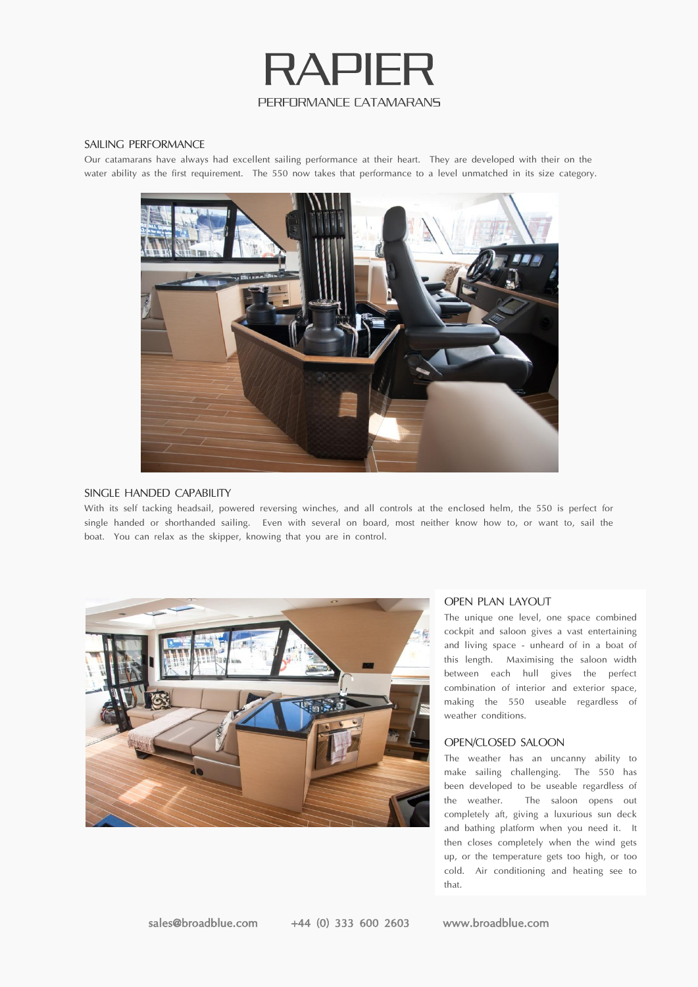

#### SAILING PERFORMANCE

Our catamarans have always had excellent sailing performance at their heart. They are developed with their on the water ability as the first requirement. The 550 now takes that performance to a level unmatched in its size category.



#### SINGLE HANDED CAPABILITY

With its self tacking headsail, powered reversing winches, and all controls at the enclosed helm, the 550 is perfect for single handed or shorthanded sailing. Even with several on board, most neither know how to, or want to, sail the boat. You can relax as the skipper, knowing that you are in control.



#### OPEN PLAN LAYOUT

The unique one level, one space combined cockpit and saloon gives a vast entertaining and living space - unheard of in a boat of this length. Maximising the saloon width between each hull gives the perfect combination of interior and exterior space, making the 550 useable regardless of weather conditions.

#### OPEN/CLOSED SALOON

The weather has an uncanny ability to make sailing challenging. The 550 has been developed to be useable regardless of the weather. The saloon opens out completely aft, giving a luxurious sun deck and bathing platform when you need it. It then closes completely when the wind gets up, or the temperature gets too high, or too cold. Air conditioning and heating see to that.